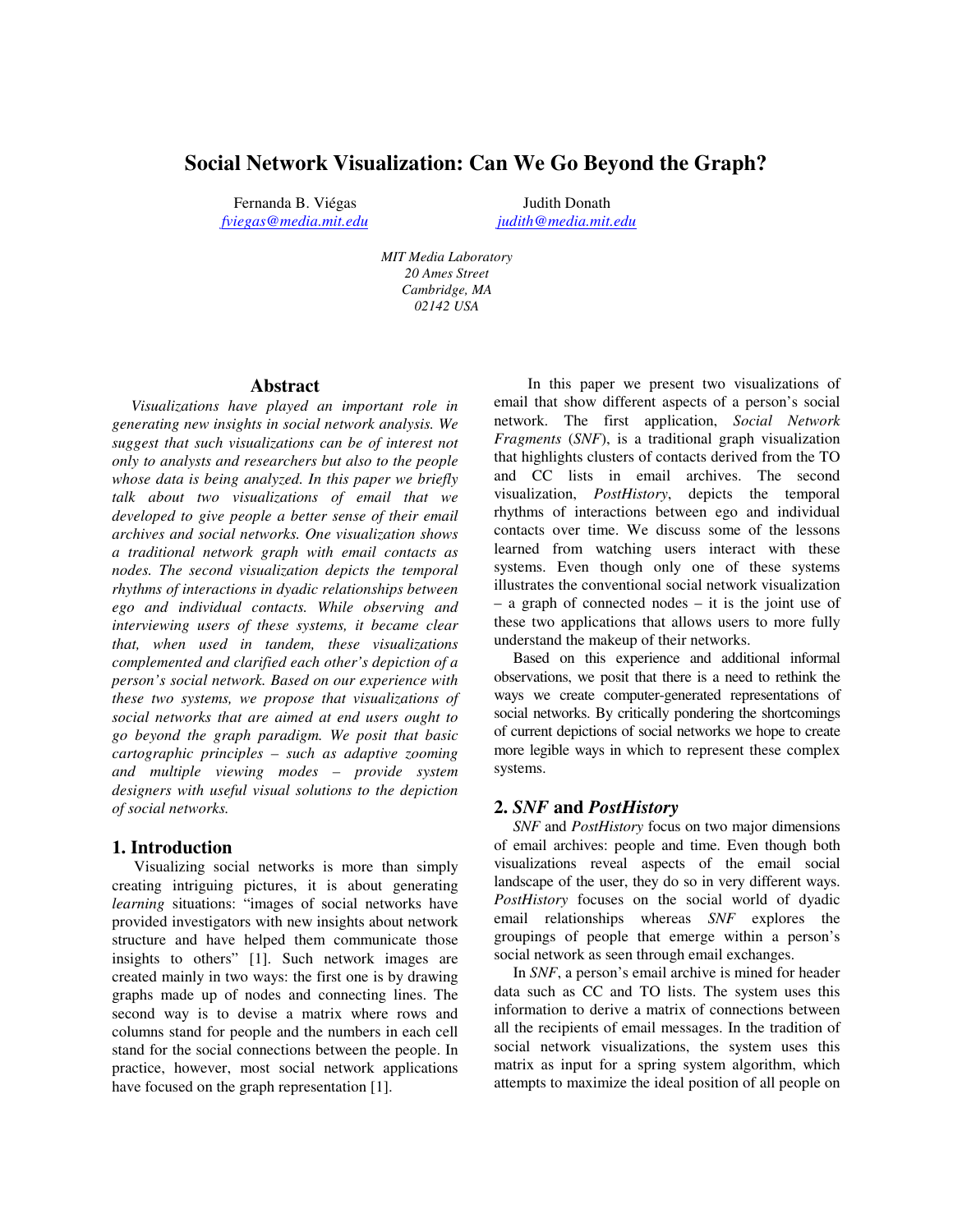# **Social Network Visualization: Can We Go Beyond the Graph?**

Fernanda B. Viégas Judith Donath *fviegas@media.mit.edu judith@media.mit.edu*

*MIT Media Laboratory 20 Ames Street Cambridge, MA 02142 USA*

#### **Abstract**

*Visualizations have played an important role in generating new insights in social network analysis. We suggest that such visualizations can be of interest not only to analysts and researchers but also to the people whose data is being analyzed. In this paper we briefly talk about two visualizations of email that we developed to give people a better sense of their email archives and social networks. One visualization shows a traditional network graph with email contacts as nodes. The second visualization depicts the temporal rhythms of interactions in dyadic relationships between ego and individual contacts. While observing and interviewing users of these systems, it became clear that, when used in tandem, these visualizations complemented and clarified each other's depiction of a person's social network. Based on our experience with these two systems, we propose that visualizations of social networks that are aimed at end users ought to go beyond the graph paradigm. We posit that basic cartographic principles – such as adaptive zooming and multiple viewing modes – provide system designers with useful visual solutions to the depiction of social networks.*

### **1. Introduction**

Visualizing social networks is more than simply creating intriguing pictures, it is about generating *learning* situations: "images of social networks have provided investigators with new insights about network structure and have helped them communicate those insights to others" [1]. Such network images are created mainly in two ways: the first one is by drawing graphs made up of nodes and connecting lines. The second way is to devise a matrix where rows and columns stand for people and the numbers in each cell stand for the social connections between the people. In practice, however, most social network applications have focused on the graph representation [1].

In this paper we present two visualizations of email that show different aspects of a person's social network. The first application, *Social Network Fragments* (*SNF*), is a traditional graph visualization that highlights clusters of contacts derived from the TO and CC lists in email archives. The second visualization, *PostHistory*, depicts the temporal rhythms of interactions between ego and individual contacts over time. We discuss some of the lessons learned from watching users interact with these systems. Even though only one of these systems illustrates the conventional social network visualization – a graph of connected nodes – it is the joint use of these two applications that allows users to more fully understand the makeup of their networks.

Based on this experience and additional informal observations, we posit that there is a need to rethink the ways we create computer-generated representations of social networks. By critically pondering the shortcomings of current depictions of social networks we hope to create more legible ways in which to represent these complex systems.

### **2.** *SNF* **and** *PostHistory*

*SNF* and *PostHistory* focus on two major dimensions of email archives: people and time. Even though both visualizations reveal aspects of the email social landscape of the user, they do so in very different ways. *PostHistory* focuses on the social world of dyadic email relationships whereas *SNF* explores the groupings of people that emerge within a person's social network as seen through email exchanges.

In *SNF*, a person's email archive is mined for header data such as CC and TO lists. The system uses this information to derive a matrix of connections between all the recipients of email messages. In the tradition of social network visualizations, the system uses this matrix as input for a spring system algorithm, which attempts to maximize the ideal position of all people on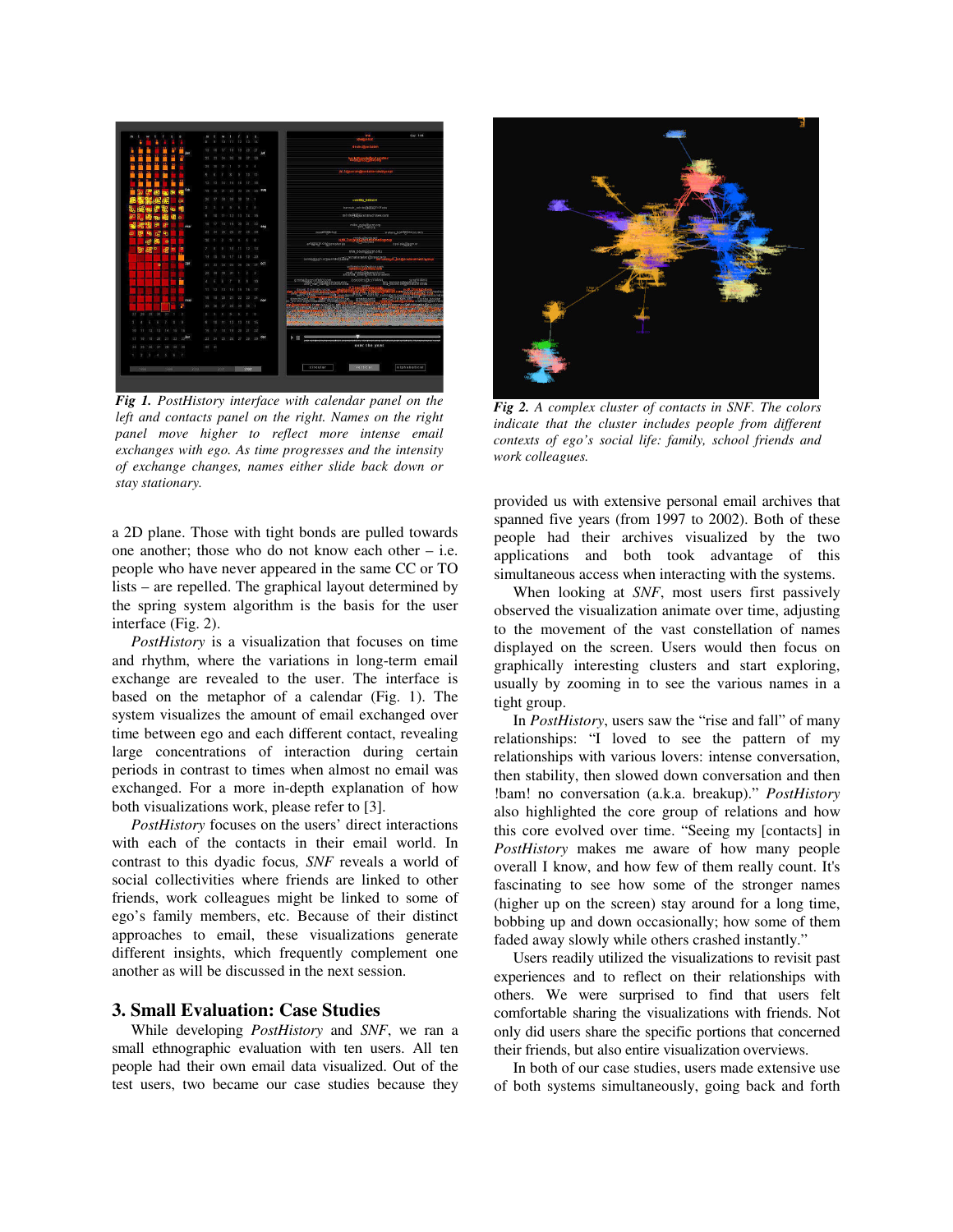

*Fig 1. PostHistory interface with calendar panel on the left and contacts panel on the right. Names on the right panel move higher to reflect more intense email exchanges with ego. As time progresses and the intensity of exchange changes, names either slide back down or stay stationary.*

a 2D plane. Those with tight bonds are pulled towards one another; those who do not know each other – i.e. people who have never appeared in the same CC or TO lists – are repelled. The graphical layout determined by the spring system algorithm is the basis for the user interface (Fig. 2).

*PostHistory* is a visualization that focuses on time and rhythm, where the variations in long-term email exchange are revealed to the user. The interface is based on the metaphor of a calendar (Fig. 1). The system visualizes the amount of email exchanged over time between ego and each different contact, revealing large concentrations of interaction during certain periods in contrast to times when almost no email was exchanged. For a more in-depth explanation of how both visualizations work, please refer to [3].

*PostHistory* focuses on the users' direct interactions with each of the contacts in their email world. In contrast to this dyadic focus*, SNF* reveals a world of social collectivities where friends are linked to other friends, work colleagues might be linked to some of ego's family members, etc. Because of their distinct approaches to email, these visualizations generate different insights, which frequently complement one another as will be discussed in the next session.

## **3. Small Evaluation: Case Studies**

While developing *PostHistory* and *SNF*, we ran a small ethnographic evaluation with ten users. All ten people had their own email data visualized. Out of the test users, two became our case studies because they



*Fig 2. A complex cluster of contacts in SNF. The colors indicate that the cluster includes people from different contexts of ego's social life: family, school friends and work colleagues.*

provided us with extensive personal email archives that spanned five years (from 1997 to 2002). Both of these people had their archives visualized by the two applications and both took advantage of this simultaneous access when interacting with the systems.

When looking at *SNF*, most users first passively observed the visualization animate over time, adjusting to the movement of the vast constellation of names displayed on the screen. Users would then focus on graphically interesting clusters and start exploring, usually by zooming in to see the various names in a tight group.

In *PostHistory*, users saw the "rise and fall" of many relationships: "I loved to see the pattern of my relationships with various lovers: intense conversation, then stability, then slowed down conversation and then !bam! no conversation (a.k.a. breakup)." *PostHistory* also highlighted the core group of relations and how this core evolved over time. "Seeing my [contacts] in *PostHistory* makes me aware of how many people overall I know, and how few of them really count. It's fascinating to see how some of the stronger names (higher up on the screen) stay around for a long time, bobbing up and down occasionally; how some of them faded away slowly while others crashed instantly."

Users readily utilized the visualizations to revisit past experiences and to reflect on their relationships with others. We were surprised to find that users felt comfortable sharing the visualizations with friends. Not only did users share the specific portions that concerned their friends, but also entire visualization overviews.

In both of our case studies, users made extensive use of both systems simultaneously, going back and forth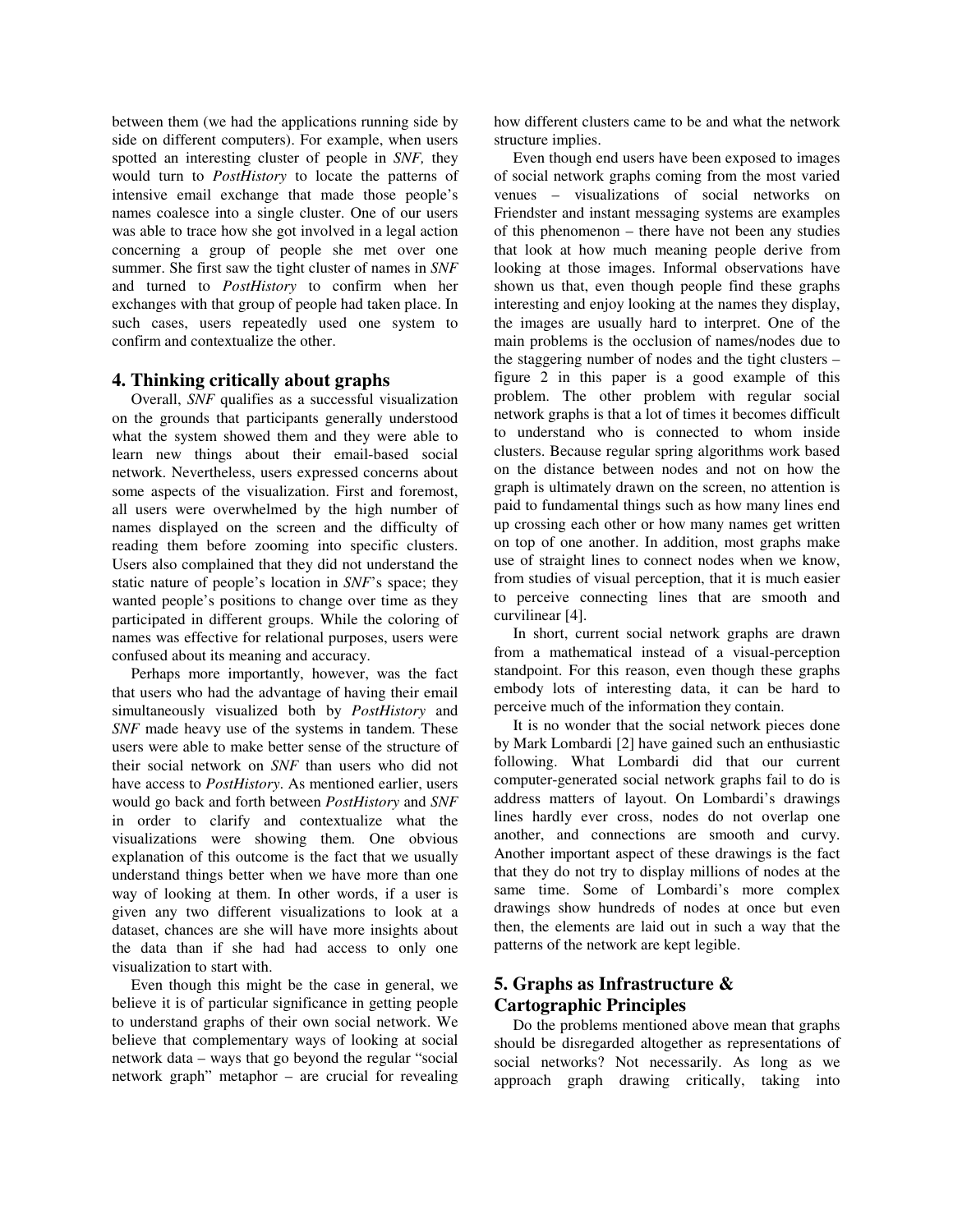between them (we had the applications running side by side on different computers). For example, when users spotted an interesting cluster of people in *SNF,* they would turn to *PostHistory* to locate the patterns of intensive email exchange that made those people's names coalesce into a single cluster. One of our users was able to trace how she got involved in a legal action concerning a group of people she met over one summer. She first saw the tight cluster of names in *SNF* and turned to *PostHistory* to confirm when her exchanges with that group of people had taken place. In such cases, users repeatedly used one system to confirm and contextualize the other.

### **4. Thinking critically about graphs**

Overall, *SNF* qualifies as a successful visualization on the grounds that participants generally understood what the system showed them and they were able to learn new things about their email-based social network. Nevertheless, users expressed concerns about some aspects of the visualization. First and foremost, all users were overwhelmed by the high number of names displayed on the screen and the difficulty of reading them before zooming into specific clusters. Users also complained that they did not understand the static nature of people's location in *SNF*'s space; they wanted people's positions to change over time as they participated in different groups. While the coloring of names was effective for relational purposes, users were confused about its meaning and accuracy.

Perhaps more importantly, however, was the fact that users who had the advantage of having their email simultaneously visualized both by *PostHistory* and *SNF* made heavy use of the systems in tandem. These users were able to make better sense of the structure of their social network on *SNF* than users who did not have access to *PostHistory*. As mentioned earlier, users would go back and forth between *PostHistory* and *SNF* in order to clarify and contextualize what the visualizations were showing them. One obvious explanation of this outcome is the fact that we usually understand things better when we have more than one way of looking at them. In other words, if a user is given any two different visualizations to look at a dataset, chances are she will have more insights about the data than if she had had access to only one visualization to start with.

Even though this might be the case in general, we believe it is of particular significance in getting people to understand graphs of their own social network. We believe that complementary ways of looking at social network data – ways that go beyond the regular "social network graph" metaphor – are crucial for revealing how different clusters came to be and what the network structure implies.

Even though end users have been exposed to images of social network graphs coming from the most varied venues – visualizations of social networks on Friendster and instant messaging systems are examples of this phenomenon – there have not been any studies that look at how much meaning people derive from looking at those images. Informal observations have shown us that, even though people find these graphs interesting and enjoy looking at the names they display, the images are usually hard to interpret. One of the main problems is the occlusion of names/nodes due to the staggering number of nodes and the tight clusters – figure 2 in this paper is a good example of this problem. The other problem with regular social network graphs is that a lot of times it becomes difficult to understand who is connected to whom inside clusters. Because regular spring algorithms work based on the distance between nodes and not on how the graph is ultimately drawn on the screen, no attention is paid to fundamental things such as how many lines end up crossing each other or how many names get written on top of one another. In addition, most graphs make use of straight lines to connect nodes when we know, from studies of visual perception, that it is much easier to perceive connecting lines that are smooth and curvilinear [4].

In short, current social network graphs are drawn from a mathematical instead of a visual-perception standpoint. For this reason, even though these graphs embody lots of interesting data, it can be hard to perceive much of the information they contain.

It is no wonder that the social network pieces done by Mark Lombardi [2] have gained such an enthusiastic following. What Lombardi did that our current computer-generated social network graphs fail to do is address matters of layout. On Lombardi's drawings lines hardly ever cross, nodes do not overlap one another, and connections are smooth and curvy. Another important aspect of these drawings is the fact that they do not try to display millions of nodes at the same time. Some of Lombardi's more complex drawings show hundreds of nodes at once but even then, the elements are laid out in such a way that the patterns of the network are kept legible.

# **5. Graphs as Infrastructure & Cartographic Principles**

Do the problems mentioned above mean that graphs should be disregarded altogether as representations of social networks? Not necessarily. As long as we approach graph drawing critically, taking into